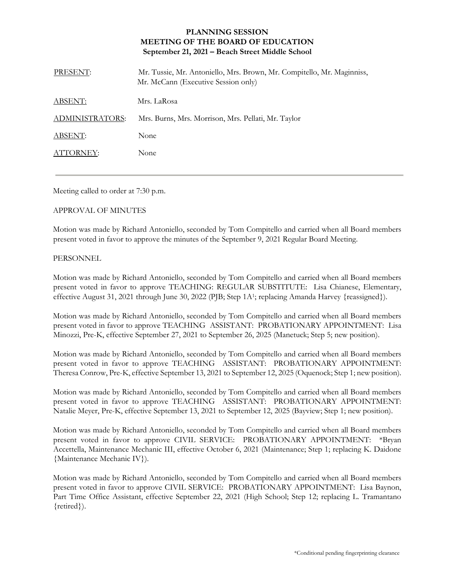## **PLANNING SESSION MEETING OF THE BOARD OF EDUCATION September 21, 2021 – Beach Street Middle School**

| PRESENT:        | Mr. Tussie, Mr. Antoniello, Mrs. Brown, Mr. Compitello, Mr. Maginniss,<br>Mr. McCann (Executive Session only) |
|-----------------|---------------------------------------------------------------------------------------------------------------|
| ABSENT:         | Mrs. LaRosa                                                                                                   |
| ADMINISTRATORS: | Mrs. Burns, Mrs. Morrison, Mrs. Pellati, Mr. Taylor                                                           |
| ABSENT:         | None                                                                                                          |
| ATTORNEY:       | None                                                                                                          |

Meeting called to order at 7:30 p.m.

## APPROVAL OF MINUTES

Motion was made by Richard Antoniello, seconded by Tom Compitello and carried when all Board members present voted in favor to approve the minutes of the September 9, 2021 Regular Board Meeting.

## PERSONNEL

Motion was made by Richard Antoniello, seconded by Tom Compitello and carried when all Board members present voted in favor to approve TEACHING: REGULAR SUBSTITUTE: Lisa Chianese, Elementary, effective August 31, 2021 through June 30, 2022 (PJB; Step 1A<sup>1</sup>; replacing Amanda Harvey {reassigned}).

Motion was made by Richard Antoniello, seconded by Tom Compitello and carried when all Board members present voted in favor to approve TEACHING ASSISTANT: PROBATIONARY APPOINTMENT: Lisa Minozzi, Pre-K, effective September 27, 2021 to September 26, 2025 (Manetuck; Step 5; new position).

Motion was made by Richard Antoniello, seconded by Tom Compitello and carried when all Board members present voted in favor to approve TEACHING ASSISTANT: PROBATIONARY APPOINTMENT: Theresa Conrow, Pre-K, effective September 13, 2021 to September 12, 2025 (Oquenock; Step 1; new position).

Motion was made by Richard Antoniello, seconded by Tom Compitello and carried when all Board members present voted in favor to approve TEACHING ASSISTANT: PROBATIONARY APPOINTMENT: Natalie Meyer, Pre-K, effective September 13, 2021 to September 12, 2025 (Bayview; Step 1; new position).

Motion was made by Richard Antoniello, seconded by Tom Compitello and carried when all Board members present voted in favor to approve CIVIL SERVICE: PROBATIONARY APPOINTMENT: \*Bryan Accettella, Maintenance Mechanic III, effective October 6, 2021 (Maintenance; Step 1; replacing K. Daidone {Maintenance Mechanic IV}).

Motion was made by Richard Antoniello, seconded by Tom Compitello and carried when all Board members present voted in favor to approve CIVIL SERVICE: PROBATIONARY APPOINTMENT: Lisa Baynon, Part Time Office Assistant, effective September 22, 2021 (High School; Step 12; replacing L. Tramantano {retired}).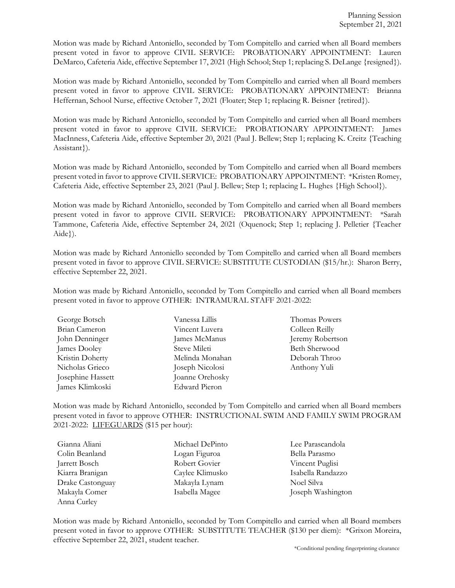Motion was made by Richard Antoniello, seconded by Tom Compitello and carried when all Board members present voted in favor to approve CIVIL SERVICE: PROBATIONARY APPOINTMENT: Lauren DeMarco, Cafeteria Aide, effective September 17, 2021 (High School; Step 1; replacing S. DeLange {resigned}).

Motion was made by Richard Antoniello, seconded by Tom Compitello and carried when all Board members present voted in favor to approve CIVIL SERVICE: PROBATIONARY APPOINTMENT: Brianna Heffernan, School Nurse, effective October 7, 2021 (Floater; Step 1; replacing R. Beisner {retired}).

Motion was made by Richard Antoniello, seconded by Tom Compitello and carried when all Board members present voted in favor to approve CIVIL SERVICE: PROBATIONARY APPOINTMENT: James MacInness, Cafeteria Aide, effective September 20, 2021 (Paul J. Bellew; Step 1; replacing K. Creitz {Teaching Assistant}).

Motion was made by Richard Antoniello, seconded by Tom Compitello and carried when all Board members present voted in favor to approve CIVIL SERVICE: PROBATIONARY APPOINTMENT: \*Kristen Romey, Cafeteria Aide, effective September 23, 2021 (Paul J. Bellew; Step 1; replacing L. Hughes {High School}).

Motion was made by Richard Antoniello, seconded by Tom Compitello and carried when all Board members present voted in favor to approve CIVIL SERVICE: PROBATIONARY APPOINTMENT: \*Sarah Tammone, Cafeteria Aide, effective September 24, 2021 (Oquenock; Step 1; replacing J. Pelletier {Teacher Aide}).

Motion was made by Richard Antoniello seconded by Tom Compitello and carried when all Board members present voted in favor to approve CIVIL SERVICE: SUBSTITUTE CUSTODIAN (\$15/hr.): Sharon Berry, effective September 22, 2021.

Motion was made by Richard Antoniello, seconded by Tom Compitello and carried when all Board members present voted in favor to approve OTHER: INTRAMURAL STAFF 2021-2022:

| George Botsch     | Vanessa Lillis       |
|-------------------|----------------------|
| Brian Cameron     | Vincent Luvera       |
| John Denninger    | James McManus        |
| James Dooley      | Steve Mileti         |
| Kristin Doherty   | Melinda Monahar      |
| Nicholas Grieco   | Joseph Nicolosi      |
| Josephine Hassett | Joanne Orehosky      |
| James Klimkoski   | <b>Edward Pieron</b> |

lis Thomas Powers vera Colleen Reilly Janus Jeremy Robertson Beth Sherwood Kristin Doherty Melinda Monahan Deborah Throo olosi Anthony Yuli

Motion was made by Richard Antoniello, seconded by Tom Compitello and carried when all Board members present voted in favor to approve OTHER: INSTRUCTIONAL SWIM AND FAMILY SWIM PROGRAM 2021-2022: LIFEGUARDS (\$15 per hour):

| Gianna Aliani    | Michael DePinto | Lee Parascandola  |
|------------------|-----------------|-------------------|
| Colin Beanland   | Logan Figuroa   | Bella Parasmo     |
| Jarrett Bosch    | Robert Govier   | Vincent Puglisi   |
| Kiarra Branigan  | Caylee Klimusko | Isabella Randazzo |
| Drake Castonguay | Makayla Lynam   | Noel Silva        |
| Makayla Comer    | Isabella Magee  | Joseph Washington |
| Anna Curley      |                 |                   |

Motion was made by Richard Antoniello, seconded by Tom Compitello and carried when all Board members present voted in favor to approve OTHER: SUBSTITUTE TEACHER (\$130 per diem): \*Grixon Moreira, effective September 22, 2021, student teacher.